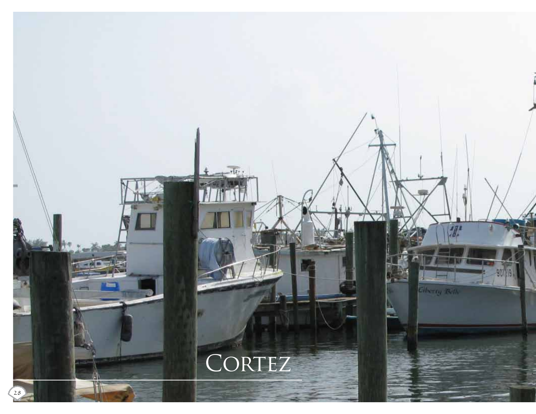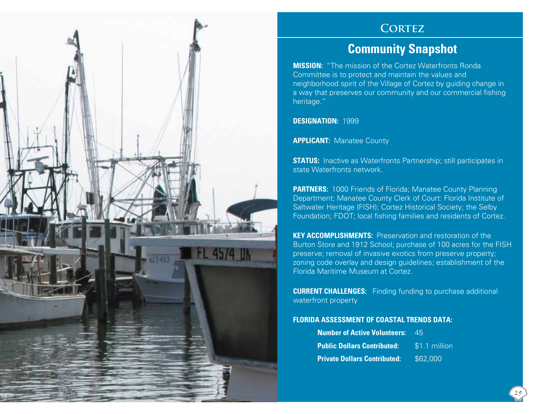

### CORTEZ

## **Community Snapshot**

**MISSION:** "The mission of the Cortez Waterfronts Ronda Committee is to protect and maintain the values and neighborhood spirit of the Village of Cortez by guiding change in a way that preserves our community and our commercial fishing heritage."

**DESIGNATION:** 1999

**APPLICANT:** Manatee County

**STATUS:** Inactive as Waterfronts Partnership; still participates in state Waterfronts network.

**PARTNERS:** 1000 Friends of Florida; Manatee County Planning Department; Manatee County Clerk of Court: Florida Institute of Saltwater Heritage (FISH); Cortez Historical Society; the Selby Foundation; FDOT; local fishing families and residents of Cortez.

**KEY ACCOMPLISHMENTS:** Preservation and restoration of the Burton Store and 1912 School; purchase of 100 acres for the FISH preserve; removal of invasive exotics from preserve property; zoning code overlay and design guidelines; establishment of the Florida Maritime Museum at Cortez.

**CURRENT CHALLENGES:** Finding funding to purchase additional waterfront property

#### **FLORIDA ASSESSMENT OF COASTAL TRENDS DATA:**

| <b>Number of Active Volunteers:</b> | 451           |
|-------------------------------------|---------------|
| <b>Public Dollars Contributed:</b>  | \$1.1 million |
| <b>Private Dollars Contributed:</b> | \$62,000      |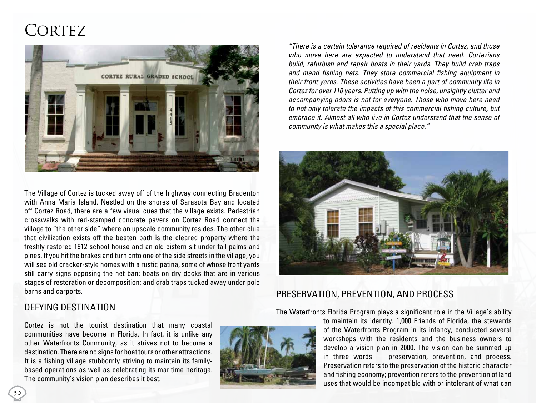# CORTEZ

Defying Destination



The Village of Cortez is tucked away off of the highway connecting Bradenton with Anna Maria Island. Nestled on the shores of Sarasota Bay and located off Cortez Road, there are a few visual cues that the village exists. Pedestrian crosswalks with red-stamped concrete pavers on Cortez Road connect the village to "the other side" where an upscale community resides. The other clue that civilization exists off the beaten path is the cleared property where the freshly restored 1912 school house and an old cistern sit under tall palms and pines. If you hit the brakes and turn onto one of the side streets in the village, you will see old cracker-style homes with a rustic patina, some of whose front yards still carry signs opposing the net ban; boats on dry docks that are in various stages of restoration or decomposition; and crab traps tucked away under pole barns and carports.

*"There is a certain tolerance required of residents in Cortez, and those who move here are expected to understand that need. Cortezians build, refurbish and repair boats in their yards. They build crab traps*  and mend fishing nets. They store commercial fishing equipment in *their front yards. These activities have been a part of community life in Cortez for over 110 years. Putting up with the noise, unsightly clutter and accompanying odors is not for everyone. Those who move here need*  to not only tolerate the impacts of this commercial fishing culture, but *embrace it. Almost all who live in Cortez understand that the sense of community is what makes this a special place."*



### Preservation, Prevention, and Process

The Waterfronts Florida Program plays a significant role in the Village's ability

Cortez is not the tourist destination that many coastal communities have become in Florida. In fact, it is unlike any other Waterfronts Community, as it strives not to become a destination. There are no signs for boat tours or other attractions. It is a fishing village stubbornly striving to maintain its familybased operations as well as celebrating its maritime heritage. The community's vision plan describes it best.



to maintain its identity. 1,000 Friends of Florida, the stewards of the Waterfronts Program in its infancy, conducted several workshops with the residents and the business owners to develop a vision plan in 2000. The vision can be summed up in three words — preservation, prevention, and process. Preservation refers to the preservation of the historic character and fishing economy; prevention refers to the prevention of land uses that would be incompatible with or intolerant of what can